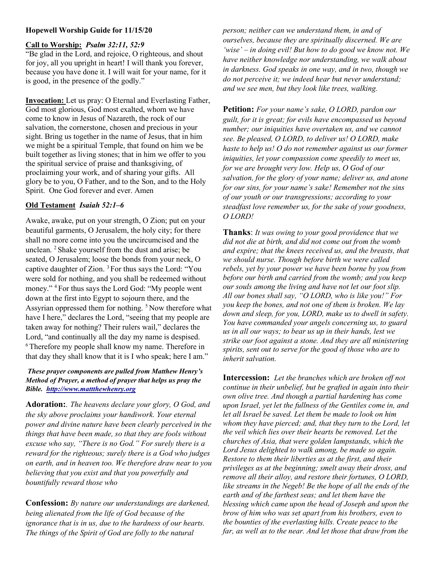# Hopewell Worship Guide for 11/15/20

### Call to Worship: Psalm 32:11, 52:9

"Be glad in the Lord, and rejoice, O righteous, and shout for joy, all you upright in heart! I will thank you forever, because you have done it. I will wait for your name, for it is good, in the presence of the godly."

Invocation: Let us pray: O Eternal and Everlasting Father, God most glorious, God most exalted, whom we have come to know in Jesus of Nazareth, the rock of our salvation, the cornerstone, chosen and precious in your sight. Bring us together in the name of Jesus, that in him we might be a spiritual Temple, that found on him we be built together as living stones; that in him we offer to you the spiritual service of praise and thanksgiving, of proclaiming your work, and of sharing your gifts. All glory be to you, O Father, and to the Son, and to the Holy Spirit. One God forever and ever. Amen

# Old Testament Isaiah 52:1–6

Awake, awake, put on your strength, O Zion; put on your beautiful garments, O Jerusalem, the holy city; for there shall no more come into you the uncircumcised and the unclean. <sup>2</sup>Shake yourself from the dust and arise; be seated, O Jerusalem; loose the bonds from your neck, O captive daughter of Zion. <sup>3</sup>For thus says the Lord: "You were sold for nothing, and you shall be redeemed without money." <sup>4</sup> For thus says the Lord God: "My people went down at the first into Egypt to sojourn there, and the Assyrian oppressed them for nothing.<sup>5</sup>Now therefore what have I here," declares the Lord, "seeing that my people are taken away for nothing? Their rulers wail," declares the Lord, "and continually all the day my name is despised. <sup>6</sup>Therefore my people shall know my name. Therefore in that day they shall know that it is I who speak; here I am."

### These prayer components are pulled from Matthew Henry's Method of Prayer, a method of prayer that helps us pray the Bible. http://www.mattthewhenry.org

Adoration: The heavens declare your glory, O God, and the sky above proclaims your handiwork. Your eternal power and divine nature have been clearly perceived in the things that have been made, so that they are fools without excuse who say, "There is no God." For surely there is a reward for the righteous; surely there is a God who judges on earth, and in heaven too. We therefore draw near to you believing that you exist and that you powerfully and bountifully reward those who

Confession: By nature our understandings are darkened, being alienated from the life of God because of the ignorance that is in us, due to the hardness of our hearts. The things of the Spirit of God are folly to the natural

person; neither can we understand them, in and of ourselves, because they are spiritually discerned. We are 'wise' – in doing evil! But how to do good we know not. We have neither knowledge nor understanding, we walk about in darkness. God speaks in one way, and in two, though we do not perceive it; we indeed hear but never understand; and we see men, but they look like trees, walking.

Petition: For your name's sake, O LORD, pardon our guilt, for it is great; for evils have encompassed us beyond number; our iniquities have overtaken us, and we cannot see. Be pleased, O LORD, to deliver us! O LORD, make haste to help us! O do not remember against us our former iniquities, let your compassion come speedily to meet us, for we are brought very low. Help us, O God of our salvation, for the glory of your name; deliver us, and atone for our sins, for your name's sake! Remember not the sins of our youth or our transgressions; according to your steadfast love remember us, for the sake of your goodness, O LORD!

**Thanks:** It was owing to your good providence that we did not die at birth, and did not come out from the womb and expire; that the knees received us, and the breasts, that we should nurse. Though before birth we were called rebels, yet by your power we have been borne by you from before our birth and carried from the womb; and you keep our souls among the living and have not let our foot slip. All our bones shall say, "O LORD, who is like you!" For you keep the bones, and not one of them is broken. We lay down and sleep, for you, LORD, make us to dwell in safety. You have commanded your angels concerning us, to guard us in all our ways; to bear us up in their hands, lest we strike our foot against a stone. And they are all ministering spirits, sent out to serve for the good of those who are to inherit salvation.

Intercession: Let the branches which are broken off not continue in their unbelief, but be grafted in again into their own olive tree. And though a partial hardening has come upon Israel, yet let the fullness of the Gentiles come in, and let all Israel be saved. Let them be made to look on him whom they have pierced; and, that they turn to the Lord, let the veil which lies over their hearts be removed. Let the churches of Asia, that were golden lampstands, which the Lord Jesus delighted to walk among, be made so again. Restore to them their liberties as at the first, and their privileges as at the beginning; smelt away their dross, and remove all their alloy, and restore their fortunes, O LORD, like streams in the Negeb! Be the hope of all the ends of the earth and of the farthest seas; and let them have the blessing which came upon the head of Joseph and upon the brow of him who was set apart from his brothers, even to the bounties of the everlasting hills. Create peace to the far, as well as to the near. And let those that draw from the